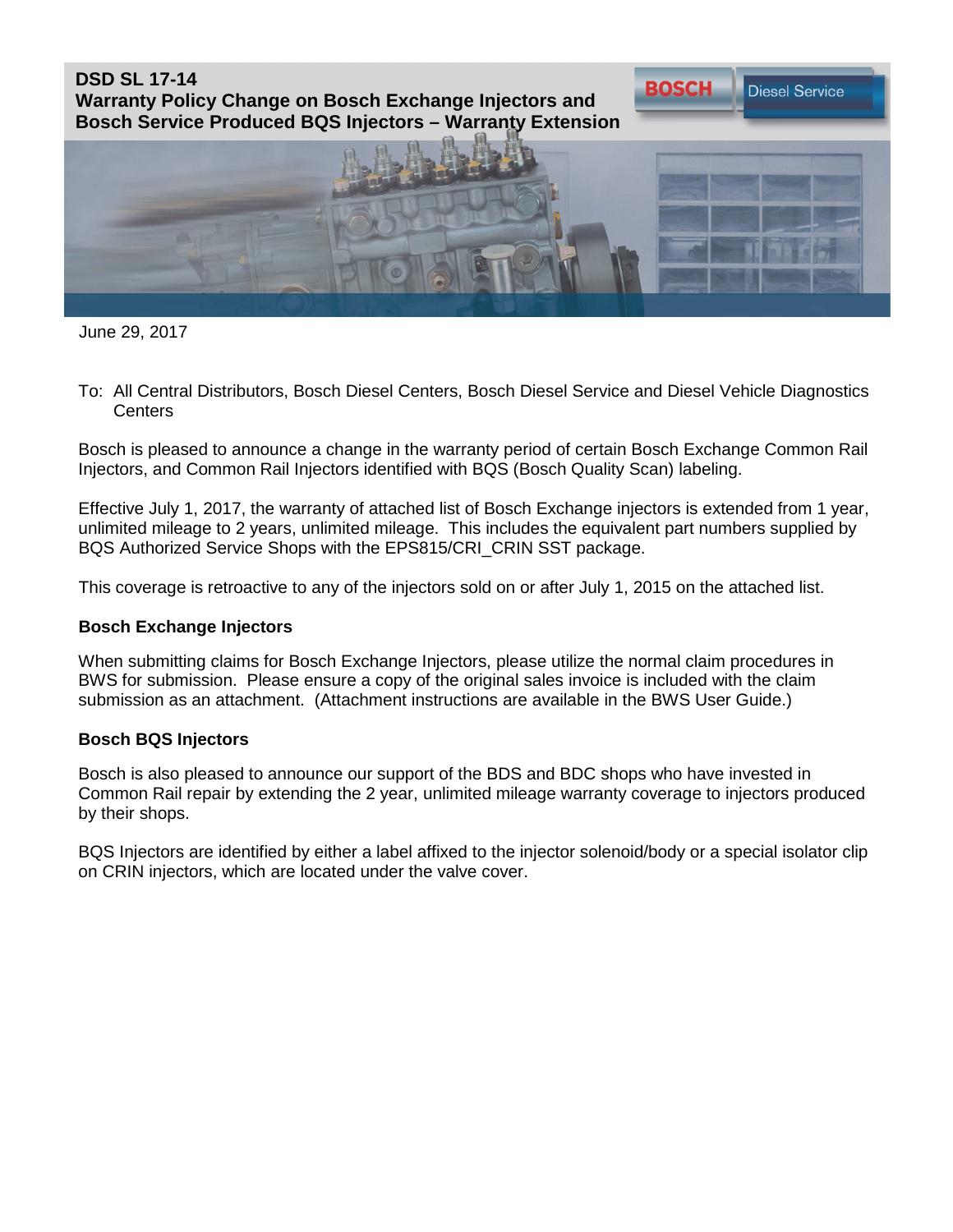**DSD SL 17-14 Warranty Policy Change on Bosch Exchange Injectors and Bosch Service Produced BQS Injectors – Warranty Extension**



**BOSCH** 

**Diesel Service** 

June 29, 2017

To: All Central Distributors, Bosch Diesel Centers, Bosch Diesel Service and Diesel Vehicle Diagnostics **Centers** 

Bosch is pleased to announce a change in the warranty period of certain Bosch Exchange Common Rail Injectors, and Common Rail Injectors identified with BQS (Bosch Quality Scan) labeling.

Effective July 1, 2017, the warranty of attached list of Bosch Exchange injectors is extended from 1 year, unlimited mileage to 2 years, unlimited mileage. This includes the equivalent part numbers supplied by BQS Authorized Service Shops with the EPS815/CRI\_CRIN SST package.

This coverage is retroactive to any of the injectors sold on or after July 1, 2015 on the attached list.

## **Bosch Exchange Injectors**

When submitting claims for Bosch Exchange Injectors, please utilize the normal claim procedures in BWS for submission. Please ensure a copy of the original sales invoice is included with the claim submission as an attachment. (Attachment instructions are available in the BWS User Guide.)

## **Bosch BQS Injectors**

Bosch is also pleased to announce our support of the BDS and BDC shops who have invested in Common Rail repair by extending the 2 year, unlimited mileage warranty coverage to injectors produced by their shops.

BQS Injectors are identified by either a label affixed to the injector solenoid/body or a special isolator clip on CRIN injectors, which are located under the valve cover.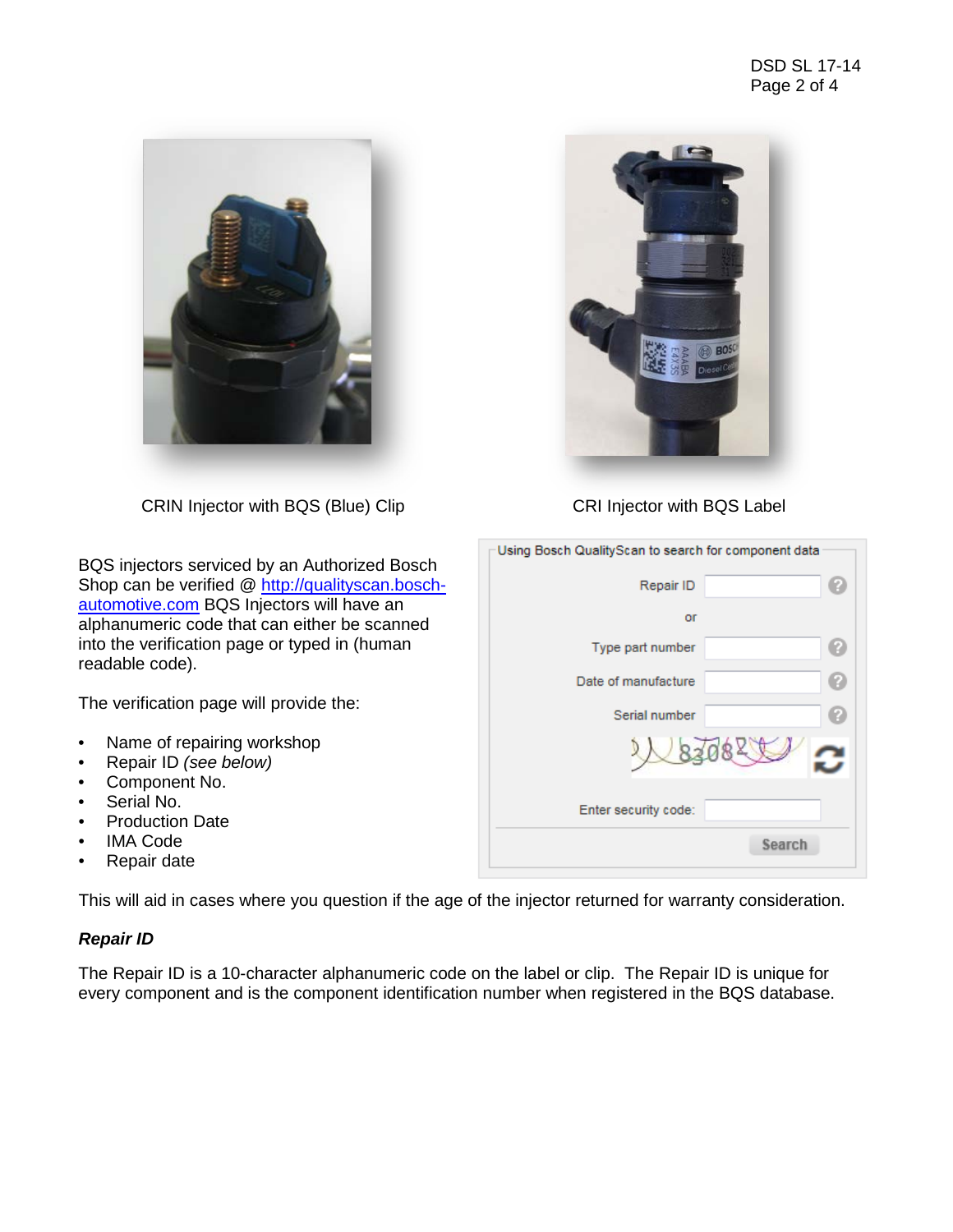

CRIN Injector with BQS (Blue) Clip CRI Injector with BQS Label

BQS injectors serviced by an Authorized Bosch Shop can be verified @ [http://qualityscan.bosch](http://qualityscan.bosch-automotive.com/)[automotive.com](http://qualityscan.bosch-automotive.com/) BQS Injectors will have an alphanumeric code that can either be scanned into the verification page or typed in (human readable code).

The verification page will provide the:

- Name of repairing workshop
- Repair ID *(see below)*
- Component No.
- Serial No.
- Production Date
- **IMA Code**
- Repair date

This will aid in cases where you question if the age of the injector returned for warranty consideration.

# *Repair ID*

The Repair ID is a 10-character alphanumeric code on the label or clip. The Repair ID is unique for every component and is the component identification number when registered in the BQS database.



| Using Bosch QualityScan to search for component data |  |  |  |  |  |
|------------------------------------------------------|--|--|--|--|--|
| Repair ID                                            |  |  |  |  |  |
| or                                                   |  |  |  |  |  |
| Type part number                                     |  |  |  |  |  |
| Date of manufacture                                  |  |  |  |  |  |
| Serial number                                        |  |  |  |  |  |
| 8208                                                 |  |  |  |  |  |
| Enter security code:                                 |  |  |  |  |  |
| Search                                               |  |  |  |  |  |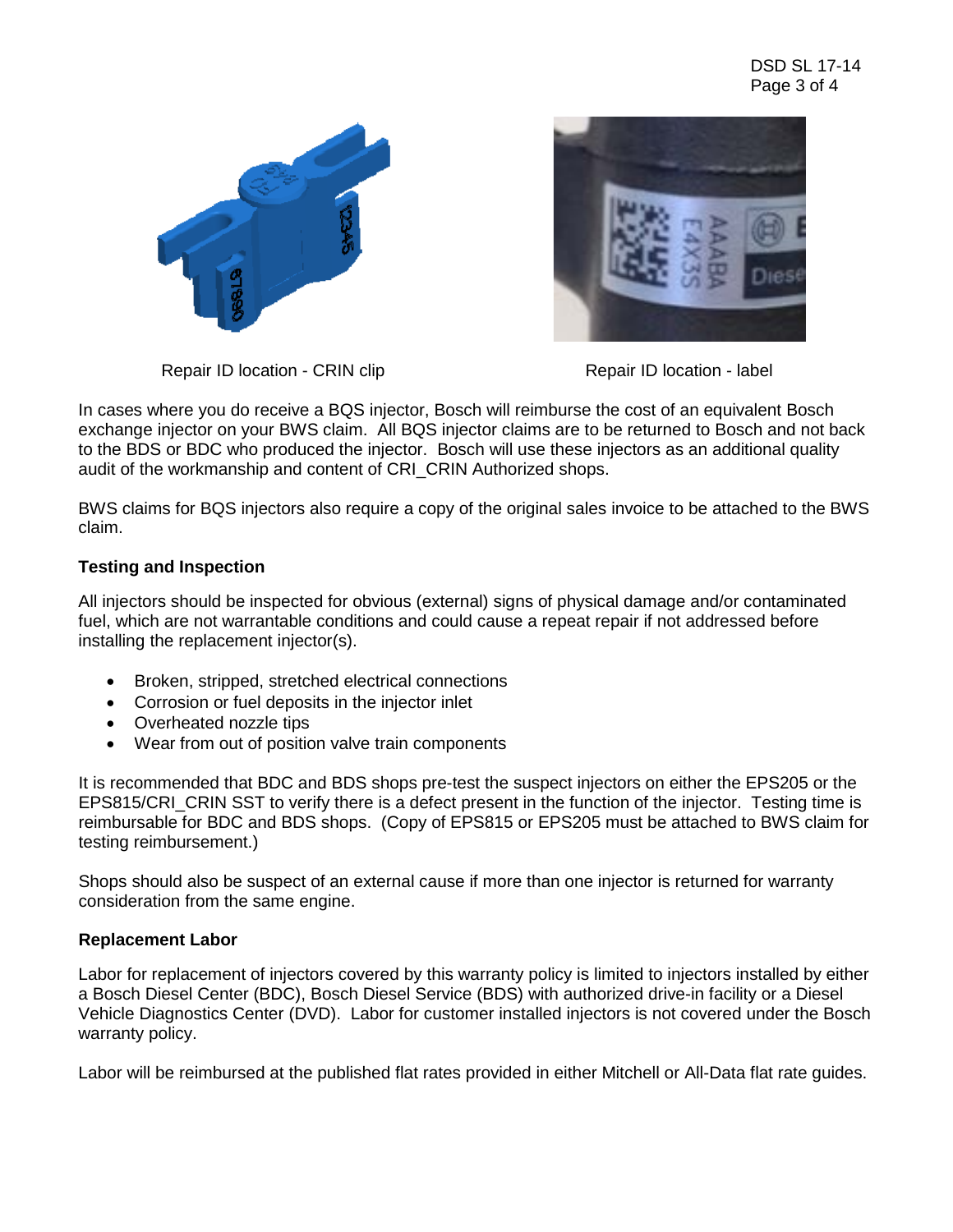



Repair ID location - CRIN clip **Repair ID** location - label

In cases where you do receive a BQS injector, Bosch will reimburse the cost of an equivalent Bosch exchange injector on your BWS claim. All BQS injector claims are to be returned to Bosch and not back to the BDS or BDC who produced the injector. Bosch will use these injectors as an additional quality audit of the workmanship and content of CRI CRIN Authorized shops.

BWS claims for BQS injectors also require a copy of the original sales invoice to be attached to the BWS claim.

# **Testing and Inspection**

All injectors should be inspected for obvious (external) signs of physical damage and/or contaminated fuel, which are not warrantable conditions and could cause a repeat repair if not addressed before installing the replacement injector(s).

- Broken, stripped, stretched electrical connections
- Corrosion or fuel deposits in the injector inlet
- Overheated nozzle tips
- Wear from out of position valve train components

It is recommended that BDC and BDS shops pre-test the suspect injectors on either the EPS205 or the EPS815/CRI CRIN SST to verify there is a defect present in the function of the injector. Testing time is reimbursable for BDC and BDS shops. (Copy of EPS815 or EPS205 must be attached to BWS claim for testing reimbursement.)

Shops should also be suspect of an external cause if more than one injector is returned for warranty consideration from the same engine.

# **Replacement Labor**

Labor for replacement of injectors covered by this warranty policy is limited to injectors installed by either a Bosch Diesel Center (BDC), Bosch Diesel Service (BDS) with authorized drive-in facility or a Diesel Vehicle Diagnostics Center (DVD). Labor for customer installed injectors is not covered under the Bosch warranty policy.

Labor will be reimbursed at the published flat rates provided in either Mitchell or All-Data flat rate guides.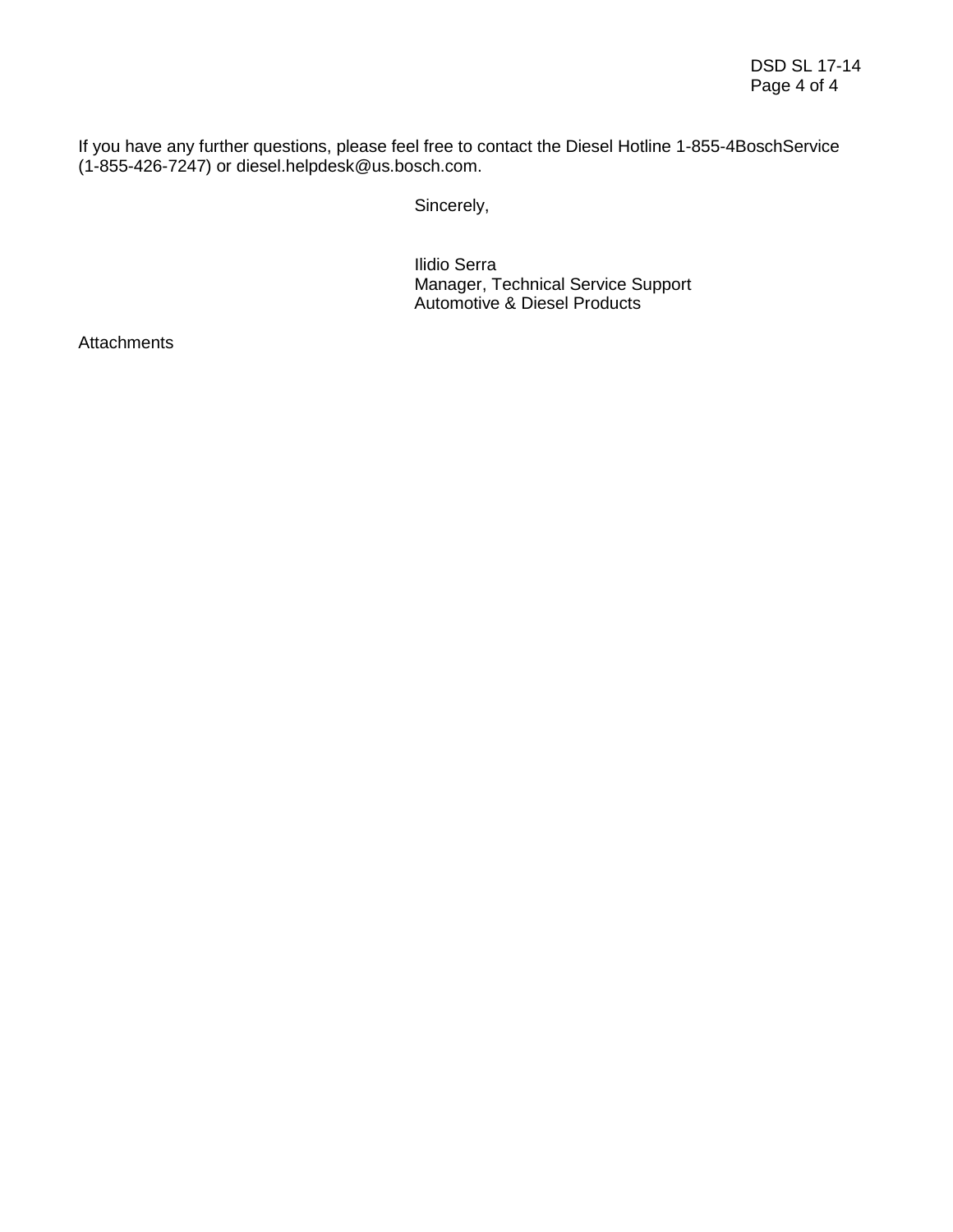If you have any further questions, please feel free to contact the Diesel Hotline 1-855-4BoschService (1-855-426-7247) or diesel.helpdesk@us.bosch.com.

Sincerely,

Ilidio Serra Manager, Technical Service Support Automotive & Diesel Products

**Attachments**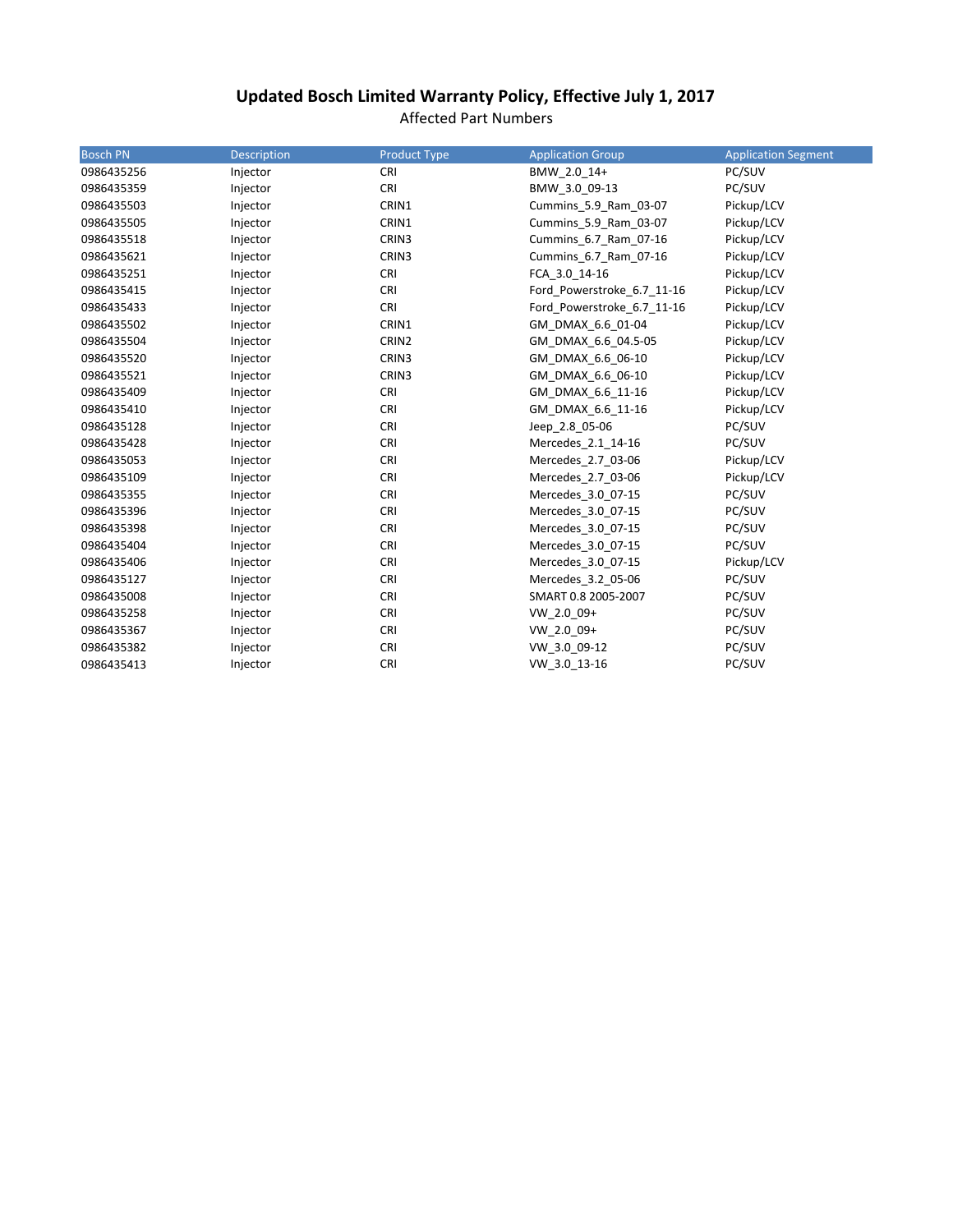# **Updated Bosch Limited Warranty Policy, Effective July 1, 2017**

Affected Part Numbers

| <b>Bosch PN</b> | <b>Description</b> | <b>Product Type</b> | <b>Application Group</b>   | <b>Application Segment</b> |
|-----------------|--------------------|---------------------|----------------------------|----------------------------|
| 0986435256      | Injector           | <b>CRI</b>          | BMW 2.0 14+                | PC/SUV                     |
| 0986435359      | Injector           | <b>CRI</b>          | BMW 3.0 09-13              | PC/SUV                     |
| 0986435503      | Injector           | CRIN1               | Cummins 5.9 Ram 03-07      | Pickup/LCV                 |
| 0986435505      | Injector           | CRIN1               | Cummins_5.9_Ram_03-07      | Pickup/LCV                 |
| 0986435518      | Injector           | CRIN3               | Cummins 6.7 Ram 07-16      | Pickup/LCV                 |
| 0986435621      | Injector           | CRIN3               | Cummins 6.7 Ram 07-16      | Pickup/LCV                 |
| 0986435251      | Injector           | <b>CRI</b>          | FCA_3.0_14-16              | Pickup/LCV                 |
| 0986435415      | Injector           | <b>CRI</b>          | Ford Powerstroke 6.7 11-16 | Pickup/LCV                 |
| 0986435433      | Injector           | CRI                 | Ford Powerstroke 6.7 11-16 | Pickup/LCV                 |
| 0986435502      | Injector           | CRIN1               | GM DMAX 6.6 01-04          | Pickup/LCV                 |
| 0986435504      | Injector           | CRIN2               | GM_DMAX_6.6_04.5-05        | Pickup/LCV                 |
| 0986435520      | Injector           | CRIN3               | GM DMAX 6.6 06-10          | Pickup/LCV                 |
| 0986435521      | Injector           | CRIN3               | GM DMAX 6.6 06-10          | Pickup/LCV                 |
| 0986435409      | Injector           | <b>CRI</b>          | GM DMAX 6.6 11-16          | Pickup/LCV                 |
| 0986435410      | Injector           | <b>CRI</b>          | GM DMAX 6.6 11-16          | Pickup/LCV                 |
| 0986435128      | Injector           | <b>CRI</b>          | Jeep 2.8 05-06             | PC/SUV                     |
| 0986435428      | Injector           | <b>CRI</b>          | Mercedes 2.1 14-16         | PC/SUV                     |
| 0986435053      | Injector           | <b>CRI</b>          | Mercedes 2.7 03-06         | Pickup/LCV                 |
| 0986435109      | Injector           | <b>CRI</b>          | Mercedes 2.7 03-06         | Pickup/LCV                 |
| 0986435355      | Injector           | <b>CRI</b>          | Mercedes 3.0 07-15         | PC/SUV                     |
| 0986435396      | Injector           | <b>CRI</b>          | Mercedes 3.0 07-15         | PC/SUV                     |
| 0986435398      | Injector           | <b>CRI</b>          | Mercedes 3.0 07-15         | PC/SUV                     |
| 0986435404      | Injector           | <b>CRI</b>          | Mercedes 3.0 07-15         | PC/SUV                     |
| 0986435406      | Injector           | <b>CRI</b>          | Mercedes 3.0 07-15         | Pickup/LCV                 |
| 0986435127      | Injector           | <b>CRI</b>          | Mercedes 3.2 05-06         | PC/SUV                     |
| 0986435008      | Injector           | <b>CRI</b>          | SMART 0.8 2005-2007        | PC/SUV                     |
| 0986435258      | Injector           | <b>CRI</b>          | VW 2.0 09+                 | PC/SUV                     |
| 0986435367      | Injector           | <b>CRI</b>          | VW 2.0 09+                 | PC/SUV                     |
| 0986435382      | Injector           | <b>CRI</b>          | VW 3.0 09-12               | PC/SUV                     |
| 0986435413      | Injector           | <b>CRI</b>          | VW_3.0_13-16               | PC/SUV                     |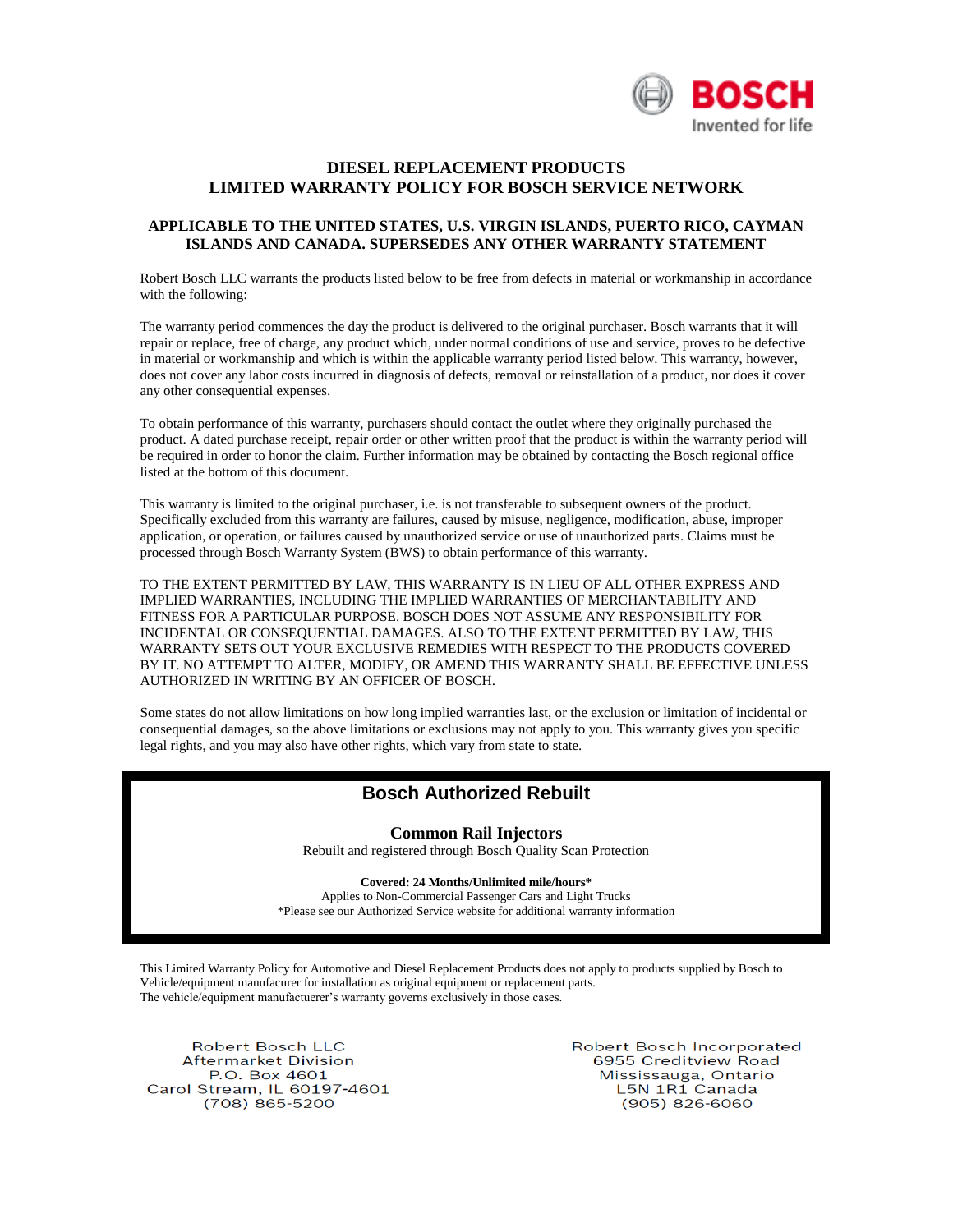

## **DIESEL REPLACEMENT PRODUCTS LIMITED WARRANTY POLICY FOR BOSCH SERVICE NETWORK**

#### **APPLICABLE TO THE UNITED STATES, U.S. VIRGIN ISLANDS, PUERTO RICO, CAYMAN ISLANDS AND CANADA. SUPERSEDES ANY OTHER WARRANTY STATEMENT**

Robert Bosch LLC warrants the products listed below to be free from defects in material or workmanship in accordance with the following:

The warranty period commences the day the product is delivered to the original purchaser. Bosch warrants that it will repair or replace, free of charge, any product which, under normal conditions of use and service, proves to be defective in material or workmanship and which is within the applicable warranty period listed below. This warranty, however, does not cover any labor costs incurred in diagnosis of defects, removal or reinstallation of a product, nor does it cover any other consequential expenses.

To obtain performance of this warranty, purchasers should contact the outlet where they originally purchased the product. A dated purchase receipt, repair order or other written proof that the product is within the warranty period will be required in order to honor the claim. Further information may be obtained by contacting the Bosch regional office listed at the bottom of this document.

This warranty is limited to the original purchaser, i.e. is not transferable to subsequent owners of the product. Specifically excluded from this warranty are failures, caused by misuse, negligence, modification, abuse, improper application, or operation, or failures caused by unauthorized service or use of unauthorized parts. Claims must be processed through Bosch Warranty System (BWS) to obtain performance of this warranty.

TO THE EXTENT PERMITTED BY LAW, THIS WARRANTY IS IN LIEU OF ALL OTHER EXPRESS AND IMPLIED WARRANTIES, INCLUDING THE IMPLIED WARRANTIES OF MERCHANTABILITY AND FITNESS FOR A PARTICULAR PURPOSE. BOSCH DOES NOT ASSUME ANY RESPONSIBILITY FOR INCIDENTAL OR CONSEQUENTIAL DAMAGES. ALSO TO THE EXTENT PERMITTED BY LAW, THIS WARRANTY SETS OUT YOUR EXCLUSIVE REMEDIES WITH RESPECT TO THE PRODUCTS COVERED BY IT. NO ATTEMPT TO ALTER, MODIFY, OR AMEND THIS WARRANTY SHALL BE EFFECTIVE UNLESS AUTHORIZED IN WRITING BY AN OFFICER OF BOSCH.

Some states do not allow limitations on how long implied warranties last, or the exclusion or limitation of incidental or consequential damages, so the above limitations or exclusions may not apply to you. This warranty gives you specific legal rights, and you may also have other rights, which vary from state to state.

# **Bosch Authorized Rebuilt**

**Common Rail Injectors**

Rebuilt and registered through Bosch Quality Scan Protection

**Covered: 24 Months/Unlimited mile/hours\*** Applies to Non-Commercial Passenger Cars and Light Trucks

\*Please see our Authorized Service website for additional warranty information

This Limited Warranty Policy for Automotive and Diesel Replacement Products does not apply to products supplied by Bosch to Vehicle/equipment manufacurer for installation as original equipment or replacement parts. The vehicle/equipment manufactuerer's warranty governs exclusively in those cases.

**Robert Bosch LLC Aftermarket Division** P.O. Box 4601 Carol Stream, IL 60197-4601 (708) 865-5200

Robert Bosch Incorporated 6955 Creditview Road Mississauga, Ontario L5N 1R1 Canada  $(905)$  826-6060